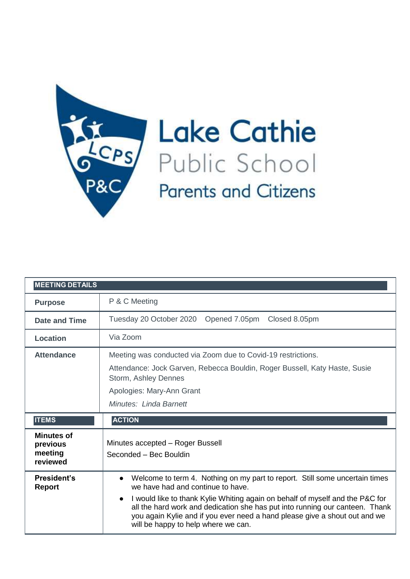

Lake Cathie **Parents and Citizens** 

| <b>MEETING DETAILS</b>                               |                                                                                                                                                                                                                                                                                                                                                                                                                                  |
|------------------------------------------------------|----------------------------------------------------------------------------------------------------------------------------------------------------------------------------------------------------------------------------------------------------------------------------------------------------------------------------------------------------------------------------------------------------------------------------------|
| <b>Purpose</b>                                       | P & C Meeting                                                                                                                                                                                                                                                                                                                                                                                                                    |
| <b>Date and Time</b>                                 | Tuesday 20 October 2020 Opened 7.05pm Closed 8.05pm                                                                                                                                                                                                                                                                                                                                                                              |
| Location                                             | Via Zoom                                                                                                                                                                                                                                                                                                                                                                                                                         |
| <b>Attendance</b>                                    | Meeting was conducted via Zoom due to Covid-19 restrictions.<br>Attendance: Jock Garven, Rebecca Bouldin, Roger Bussell, Katy Haste, Susie<br>Storm, Ashley Dennes<br>Apologies: Mary-Ann Grant<br>Minutes: Linda Barnett                                                                                                                                                                                                        |
| <b>ITEMS</b>                                         | <b>ACTION</b>                                                                                                                                                                                                                                                                                                                                                                                                                    |
| <b>Minutes of</b><br>previous<br>meeting<br>reviewed | Minutes accepted - Roger Bussell<br>Seconded - Bec Bouldin                                                                                                                                                                                                                                                                                                                                                                       |
| <b>President's</b><br><b>Report</b>                  | Welcome to term 4. Nothing on my part to report. Still some uncertain times<br>$\bullet$<br>we have had and continue to have.<br>I would like to thank Kylie Whiting again on behalf of myself and the P&C for<br>$\bullet$<br>all the hard work and dedication she has put into running our canteen. Thank<br>you again Kylie and if you ever need a hand please give a shout out and we<br>will be happy to help where we can. |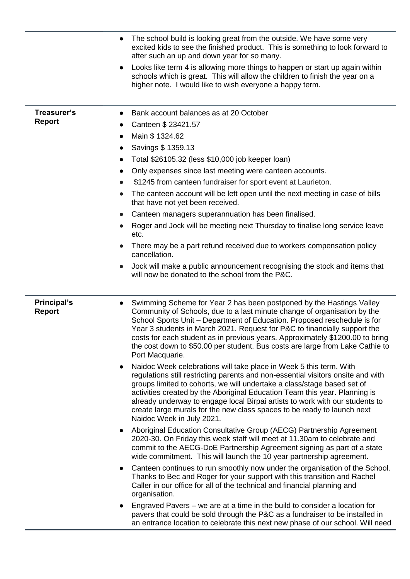|                                     | The school build is looking great from the outside. We have some very<br>excited kids to see the finished product. This is something to look forward to<br>after such an up and down year for so many.<br>Looks like term 4 is allowing more things to happen or start up again within<br>schools which is great. This will allow the children to finish the year on a<br>higher note. I would like to wish everyone a happy term.                                                                                                                                                                                                                                                                                                                                                                                                                                                                                                                                                                                                                                                                          |
|-------------------------------------|-------------------------------------------------------------------------------------------------------------------------------------------------------------------------------------------------------------------------------------------------------------------------------------------------------------------------------------------------------------------------------------------------------------------------------------------------------------------------------------------------------------------------------------------------------------------------------------------------------------------------------------------------------------------------------------------------------------------------------------------------------------------------------------------------------------------------------------------------------------------------------------------------------------------------------------------------------------------------------------------------------------------------------------------------------------------------------------------------------------|
|                                     |                                                                                                                                                                                                                                                                                                                                                                                                                                                                                                                                                                                                                                                                                                                                                                                                                                                                                                                                                                                                                                                                                                             |
| Treasurer's<br><b>Report</b>        | Bank account balances as at 20 October<br>Canteen \$ 23421.57<br>Main \$ 1324.62<br>Savings \$ 1359.13<br>$\bullet$<br>Total \$26105.32 (less \$10,000 job keeper loan)<br>Only expenses since last meeting were canteen accounts.<br>$\bullet$<br>\$1245 from canteen fundraiser for sport event at Laurieton.<br>The canteen account will be left open until the next meeting in case of bills<br>that have not yet been received.<br>Canteen managers superannuation has been finalised.<br>$\bullet$<br>Roger and Jock will be meeting next Thursday to finalise long service leave<br>$\bullet$<br>etc.<br>There may be a part refund received due to workers compensation policy<br>cancellation.<br>Jock will make a public announcement recognising the stock and items that<br>will now be donated to the school from the P&C.                                                                                                                                                                                                                                                                     |
|                                     |                                                                                                                                                                                                                                                                                                                                                                                                                                                                                                                                                                                                                                                                                                                                                                                                                                                                                                                                                                                                                                                                                                             |
| <b>Principal's</b><br><b>Report</b> | Swimming Scheme for Year 2 has been postponed by the Hastings Valley<br>$\bullet$<br>Community of Schools, due to a last minute change of organisation by the<br>School Sports Unit - Department of Education. Proposed reschedule is for<br>Year 3 students in March 2021. Request for P&C to financially support the<br>costs for each student as in previous years. Approximately \$1200.00 to bring<br>the cost down to \$50.00 per student. Bus costs are large from Lake Cathie to<br>Port Macquarie.<br>Naidoc Week celebrations will take place in Week 5 this term. With<br>$\bullet$<br>regulations still restricting parents and non-essential visitors onsite and with<br>groups limited to cohorts, we will undertake a class/stage based set of<br>activities created by the Aboriginal Education Team this year. Planning is<br>already underway to engage local Birpai artists to work with our students to<br>create large murals for the new class spaces to be ready to launch next<br>Naidoc Week in July 2021.<br>Aboriginal Education Consultative Group (AECG) Partnership Agreement |
|                                     | 2020-30. On Friday this week staff will meet at 11.30am to celebrate and<br>commit to the AECG-DoE Partnership Agreement signing as part of a state<br>wide commitment. This will launch the 10 year partnership agreement.                                                                                                                                                                                                                                                                                                                                                                                                                                                                                                                                                                                                                                                                                                                                                                                                                                                                                 |
|                                     | Canteen continues to run smoothly now under the organisation of the School.<br>$\bullet$<br>Thanks to Bec and Roger for your support with this transition and Rachel<br>Caller in our office for all of the technical and financial planning and<br>organisation.                                                                                                                                                                                                                                                                                                                                                                                                                                                                                                                                                                                                                                                                                                                                                                                                                                           |
|                                     | Engraved Pavers – we are at a time in the build to consider a location for<br>pavers that could be sold through the P&C as a fundraiser to be installed in<br>an entrance location to celebrate this next new phase of our school. Will need                                                                                                                                                                                                                                                                                                                                                                                                                                                                                                                                                                                                                                                                                                                                                                                                                                                                |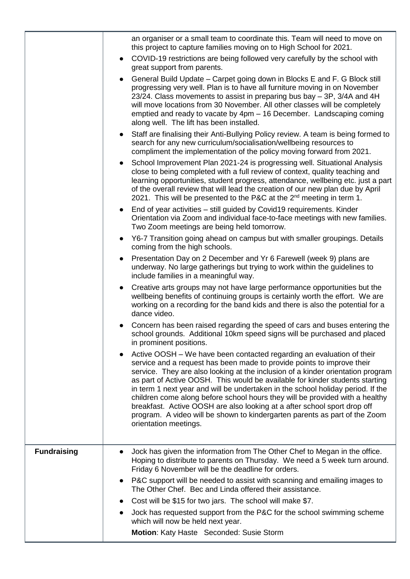|                    | an organiser or a small team to coordinate this. Team will need to move on<br>this project to capture families moving on to High School for 2021.                                                                                                                                                                                                                                                                                                                                                                                                                                                                                                                        |
|--------------------|--------------------------------------------------------------------------------------------------------------------------------------------------------------------------------------------------------------------------------------------------------------------------------------------------------------------------------------------------------------------------------------------------------------------------------------------------------------------------------------------------------------------------------------------------------------------------------------------------------------------------------------------------------------------------|
|                    | COVID-19 restrictions are being followed very carefully by the school with<br>$\bullet$<br>great support from parents.                                                                                                                                                                                                                                                                                                                                                                                                                                                                                                                                                   |
|                    | General Build Update - Carpet going down in Blocks E and F. G Block still<br>$\bullet$<br>progressing very well. Plan is to have all furniture moving in on November<br>23/24. Class movements to assist in preparing bus bay – 3P, 3/4A and 4H<br>will move locations from 30 November. All other classes will be completely<br>emptied and ready to vacate by 4pm - 16 December. Landscaping coming<br>along well. The lift has been installed.                                                                                                                                                                                                                        |
|                    | Staff are finalising their Anti-Bullying Policy review. A team is being formed to<br>$\bullet$<br>search for any new curriculum/socialisation/wellbeing resources to<br>compliment the implementation of the policy moving forward from 2021.                                                                                                                                                                                                                                                                                                                                                                                                                            |
|                    | School Improvement Plan 2021-24 is progressing well. Situational Analysis<br>$\bullet$<br>close to being completed with a full review of context, quality teaching and<br>learning opportunities, student progress, attendance, wellbeing etc. just a part<br>of the overall review that will lead the creation of our new plan due by April<br>2021. This will be presented to the P&C at the 2 <sup>nd</sup> meeting in term 1.                                                                                                                                                                                                                                        |
|                    | End of year activities - still guided by Covid19 requirements. Kinder<br>$\bullet$<br>Orientation via Zoom and individual face-to-face meetings with new families.<br>Two Zoom meetings are being held tomorrow.                                                                                                                                                                                                                                                                                                                                                                                                                                                         |
|                    | Y6-7 Transition going ahead on campus but with smaller groupings. Details<br>$\bullet$<br>coming from the high schools.                                                                                                                                                                                                                                                                                                                                                                                                                                                                                                                                                  |
|                    | Presentation Day on 2 December and Yr 6 Farewell (week 9) plans are<br>$\bullet$<br>underway. No large gatherings but trying to work within the guidelines to<br>include families in a meaningful way.                                                                                                                                                                                                                                                                                                                                                                                                                                                                   |
|                    | Creative arts groups may not have large performance opportunities but the<br>$\bullet$<br>wellbeing benefits of continuing groups is certainly worth the effort. We are<br>working on a recording for the band kids and there is also the potential for a<br>dance video.                                                                                                                                                                                                                                                                                                                                                                                                |
|                    | Concern has been raised regarding the speed of cars and buses entering the<br>$\bullet$<br>school grounds. Additional 10km speed signs will be purchased and placed<br>in prominent positions.                                                                                                                                                                                                                                                                                                                                                                                                                                                                           |
|                    | Active OOSH – We have been contacted regarding an evaluation of their<br>service and a request has been made to provide points to improve their<br>service. They are also looking at the inclusion of a kinder orientation program<br>as part of Active OOSH. This would be available for kinder students starting<br>in term 1 next year and will be undertaken in the school holiday period. If the<br>children come along before school hours they will be provided with a healthy<br>breakfast. Active OOSH are also looking at a after school sport drop off<br>program. A video will be shown to kindergarten parents as part of the Zoom<br>orientation meetings. |
| <b>Fundraising</b> | Jock has given the information from The Other Chef to Megan in the office.<br>Hoping to distribute to parents on Thursday. We need a 5 week turn around.<br>Friday 6 November will be the deadline for orders.                                                                                                                                                                                                                                                                                                                                                                                                                                                           |
|                    | P&C support will be needed to assist with scanning and emailing images to<br>$\bullet$<br>The Other Chef. Bec and Linda offered their assistance.                                                                                                                                                                                                                                                                                                                                                                                                                                                                                                                        |
|                    | Cost will be \$15 for two jars. The school will make \$7.<br>$\bullet$                                                                                                                                                                                                                                                                                                                                                                                                                                                                                                                                                                                                   |
|                    | Jock has requested support from the P&C for the school swimming scheme<br>$\bullet$<br>which will now be held next year.                                                                                                                                                                                                                                                                                                                                                                                                                                                                                                                                                 |
|                    | Motion: Katy Haste Seconded: Susie Storm                                                                                                                                                                                                                                                                                                                                                                                                                                                                                                                                                                                                                                 |